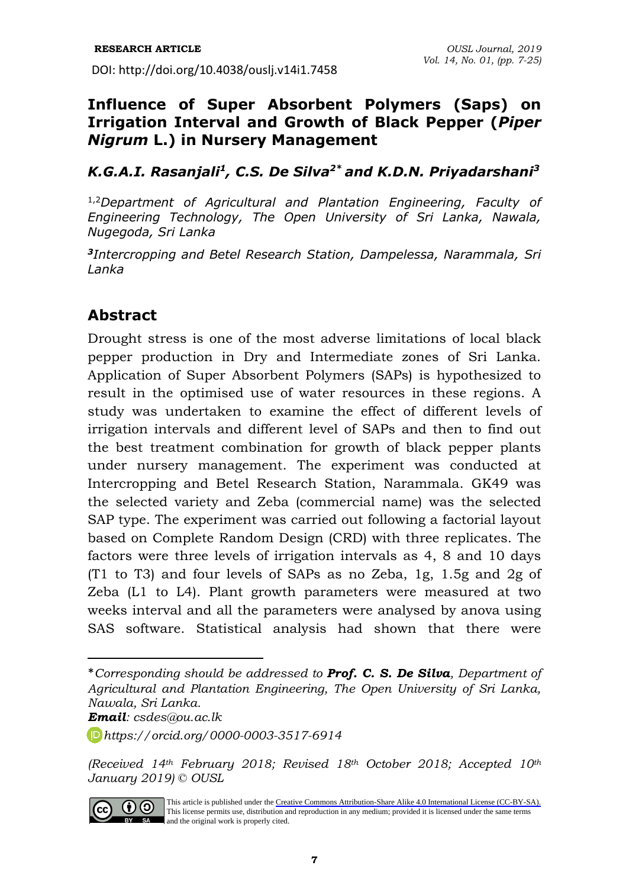# **Influence of Super Absorbent Polymers (Saps) on Irrigation Interval and Growth of Black Pepper (***Piper Nigrum* **L.) in Nursery Management**

### *K.G.A.I. Rasanjali<sup>1</sup> , C.S. De Silva2\* and K.D.N. Priyadarshani<sup>3</sup>*

1,2*Department of Agricultural and Plantation Engineering, Faculty of Engineering Technology, The Open University of Sri Lanka, Nawala, Nugegoda, Sri Lanka*

*3 Intercropping and Betel Research Station, Dampelessa, Narammala, Sri Lanka*

# **Abstract**

Drought stress is one of the most adverse limitations of local black pepper production in Dry and Intermediate zones of Sri Lanka. Application of Super Absorbent Polymers (SAPs) is hypothesized to result in the optimised use of water resources in these regions. A study was undertaken to examine the effect of different levels of irrigation intervals and different level of SAPs and then to find out the best treatment combination for growth of black pepper plants under nursery management. The experiment was conducted at Intercropping and Betel Research Station, Narammala. GK49 was the selected variety and Zeba (commercial name) was the selected SAP type. The experiment was carried out following a factorial layout based on Complete Random Design (CRD) with three replicates. The factors were three levels of irrigation intervals as 4, 8 and 10 days (T1 to T3) and four levels of SAPs as no Zeba, 1g, 1.5g and 2g of Zeba (L1 to L4). Plant growth parameters were measured at two weeks interval and all the parameters were analysed by anova using SAS software. Statistical analysis had shown that there were

*Email: csdes@ou.ac.lk*

*<sup>(</sup>Received 14th February 2018; Revised 18th October 2018; Accepted 10th January 2019) © OUSL*



This article is published under the [Creative Commons Attribution-Share Alike 4.0 International License \(CC-BY-SA\).](https://creativecommons.org/licenses/by-sa/4.0/) This license permits use, distribution and reproduction in any medium; provided it is licensed under the same terms BY SA and the original work is properly cited.

<sup>\*</sup>*Corresponding should be addressed to Prof. C. S. De Silva, Department of Agricultural and Plantation Engineering, The Open University of Sri Lanka, Nawala, Sri Lanka.* 

*[https://orcid.org/0](https://orcid.org/)000-0003-3517-6914*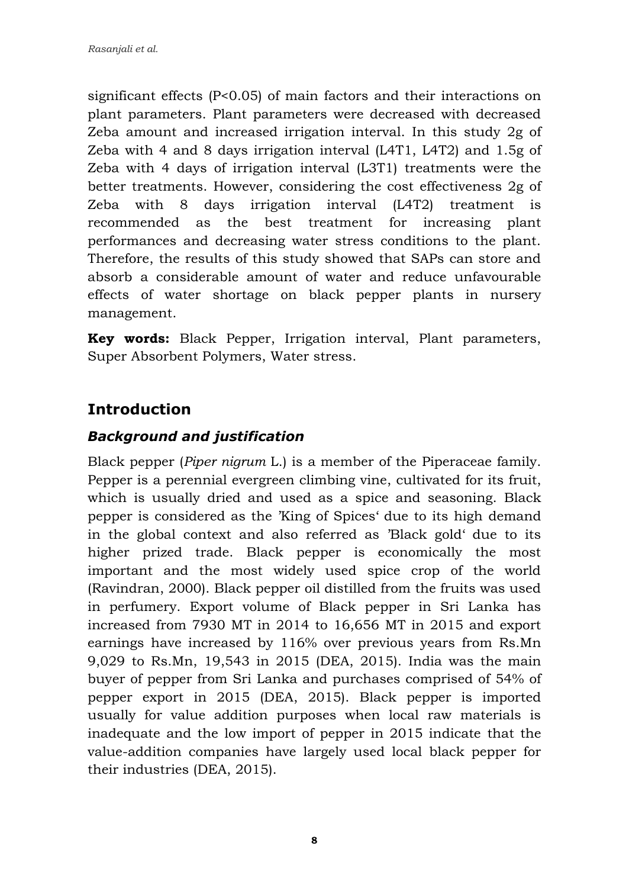significant effects (P<0.05) of main factors and their interactions on plant parameters. Plant parameters were decreased with decreased Zeba amount and increased irrigation interval. In this study 2g of Zeba with 4 and 8 days irrigation interval (L4T1, L4T2) and 1.5g of Zeba with 4 days of irrigation interval (L3T1) treatments were the better treatments. However, considering the cost effectiveness 2g of Zeba with 8 days irrigation interval (L4T2) treatment is recommended as the best treatment for increasing plant performances and decreasing water stress conditions to the plant. Therefore, the results of this study showed that SAPs can store and absorb a considerable amount of water and reduce unfavourable effects of water shortage on black pepper plants in nursery management.

**Key words:** Black Pepper, Irrigation interval, Plant parameters, Super Absorbent Polymers, Water stress.

# **Introduction**

### *Background and justification*

Black pepper (*Piper nigrum* L.) is a member of the [Piperaceae](https://en.wikipedia.org/wiki/Piperaceae) family. Pepper is a perennial evergreen climbing vine, cultivated for its [fruit,](https://en.wikipedia.org/wiki/Fruit) which is usually dried and used as a [spice](https://en.wikipedia.org/wiki/Spice) and [seasoning.](https://en.wikipedia.org/wiki/Seasoning) Black pepper is considered as the 'King of Spices' due to its high demand in the global context and also referred as 'Black gold' due to its higher prized trade. Black pepper is economically the most important and the most widely used spice crop of the world (Ravindran, 2000). Black pepper oil distilled from the fruits was used in perfumery. Export volume of Black pepper in Sri Lanka has increased from 7930 MT in 2014 to 16,656 MT in 2015 and export earnings have increased by 116% over previous years from Rs.Mn 9,029 to Rs.Mn, 19,543 in 2015 (DEA, 2015). India was the main buyer of pepper from Sri Lanka and purchases comprised of 54% of pepper export in 2015 (DEA, 2015). Black pepper is imported usually for value addition purposes when local raw materials is inadequate and the low import of pepper in 2015 indicate that the value-addition companies have largely used local black pepper for their industries (DEA, 2015).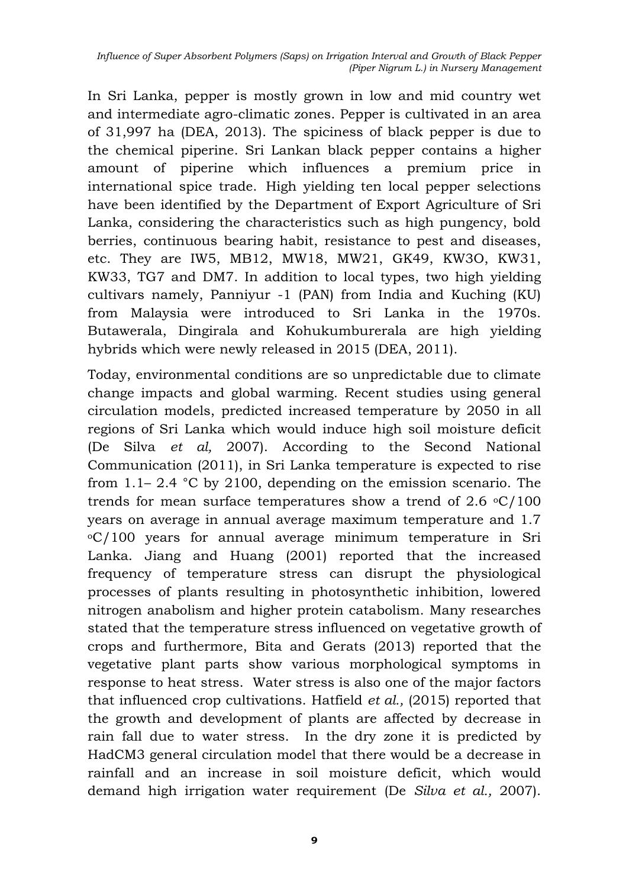In Sri Lanka, pepper is mostly grown in low and mid country wet and intermediate agro-climatic zones. Pepper is cultivated in an area of 31,997 ha (DEA, 2013). The spiciness of black pepper is due to the chemical [piperine.](https://en.wikipedia.org/wiki/Piperine) Sri Lankan black pepper contains a higher amount of piperine which influences a premium price in international spice trade. High yielding ten local pepper selections have been identified by the Department of Export Agriculture of Sri Lanka, considering the characteristics such as high pungency, bold berries, continuous bearing habit, resistance to pest and diseases, etc. They are IW5, MB12, MW18, MW21, GK49, KW3O, KW31, KW33, TG7 and DM7. In addition to local types, two high yielding cultivars namely, Panniyur -1 (PAN) from India and Kuching (KU) from Malaysia were introduced to Sri Lanka in the 1970s. Butawerala, Dingirala and Kohukumburerala are high yielding hybrids which were newly released in 2015 (DEA, 2011).

Today, environmental conditions are so unpredictable due to climate change impacts and global warming. Recent studies using general circulation models, predicted increased temperature by 2050 in all regions of Sri Lanka which would induce high soil moisture deficit (De Silva *et al,* 2007). According to the Second National Communication (2011), in Sri Lanka temperature is expected to rise from 1.1– 2.4 °C by 2100, depending on the emission scenario. The trends for mean surface temperatures show a trend of 2.6  $\mathrm{C}/100$ years on average in annual average maximum temperature and 1.7  $\rm{O}$  / 100 years for annual average minimum temperature in Sri Lanka. [Jiang and Huang \(2001\)](../../../../../../../../../../../Admin/Desktop/newly%20downloaded%20iresha/Effcet%20on%20yield/Frontiers%20_%20Food%20Legumes%20and%20Rising%20Temperatures_%20Effects,%20Adaptive%20Functional%20Mechanisms%20Specific%20to%20Reproductive%20Growth%20Stage%20and%20Strategies%20to%20Improve%20Heat%20Tolerance%20_%20Plant%20Science.html) reported that the increased frequency of temperature stress can disrupt the physiological processes of plants resulting in photosynthetic inhibition, lowered nitrogen anabolism and higher protein catabolism. Many researches stated that the temperature stress influenced on vegetative growth of crops and furthermore, Bita [and Gerats](../../../../../../../../../../../Admin/Desktop/newly%20downloaded%20iresha/Effcet%20on%20yield/Frontiers%20_%20Food%20Legumes%20and%20Rising%20Temperatures_%20Effects,%20Adaptive%20Functional%20Mechanisms%20Specific%20to%20Reproductive%20Growth%20Stage%20and%20Strategies%20to%20Improve%20Heat%20Tolerance%20_%20Plant%20Science.html) (2013) reported that the vegetative plant parts show various morphological symptoms in response to heat stress. Water stress is also one of the major factors that influenced crop cultivations. Hatfield *et al.,* (2015) reported that the growth and development of plants are affected by decrease in rain fall due to water stress. In the dry zone it is predicted by HadCM3 general circulation model that there would be a decrease in rainfall and an increase in soil moisture deficit, which would demand high irrigation water requirement (De *Silva et al.,* 2007).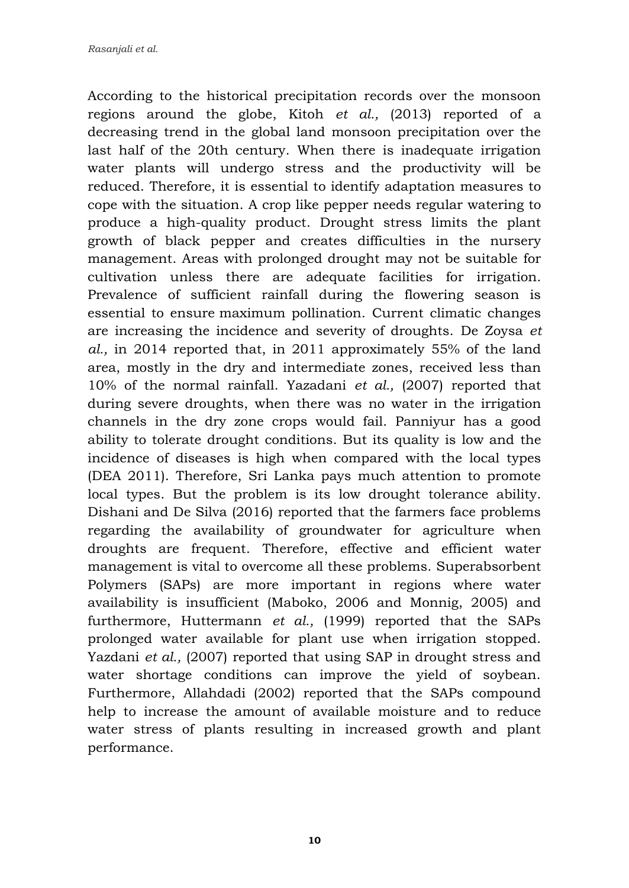According to the historical precipitation records over the monsoon regions around the globe, Kitoh *et al.,* (2013) reported of a decreasing trend in the global land monsoon precipitation over the last half of the 20th century. When there is inadequate irrigation water plants will undergo stress and the productivity will be reduced. Therefore, it is essential to identify adaptation measures to cope with the situation. A crop like pepper needs regular watering to produce a high-quality product. Drought stress limits the plant growth of black pepper and creates difficulties in the nursery management. Areas with prolonged drought may not be suitable for cultivation unless there are adequate facilities for irrigation. Prevalence of sufficient rainfall during the flowering season is essential to ensure maximum pollination. Current climatic changes are increasing the incidence and severity of droughts. De Zoysa *et al.,* in 2014 reported that, in 2011 approximately 55% of the land area, mostly in the dry and intermediate zones, received less than 10% of the normal rainfall. Yazadani *et al.,* (2007) reported that during severe droughts, when there was no water in the irrigation channels in the dry zone crops would fail. Panniyur has a good ability to tolerate drought conditions. But its quality is low and the incidence of diseases is high when compared with the local types (DEA 2011). Therefore, Sri Lanka pays much attention to promote local types. But the problem is its low drought tolerance ability. Dishani and De Silva (2016) reported that the farmers face problems regarding the availability of groundwater for agriculture when droughts are frequent. Therefore, effective and efficient water management is vital to overcome all these problems. Superabsorbent Polymers (SAPs) are more important in regions where water availability is insufficient (Maboko, 2006 and Monnig, 2005) and furthermore, Huttermann *et al.,* (1999) reported that the SAPs prolonged water available for plant use when irrigation stopped. Yazdani *et al.,* (2007) reported that using SAP in drought stress and water shortage conditions can improve the yield of soybean. Furthermore, Allahdadi (2002) reported that the SAPs compound help to increase the amount of available moisture and to reduce water stress of plants resulting in increased growth and plant performance.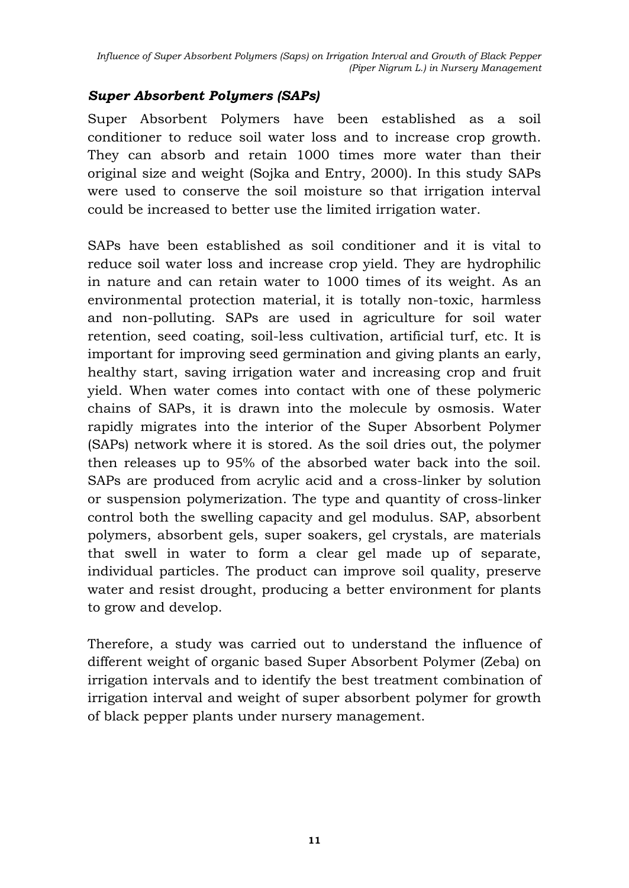### *Super Absorbent Polymers (SAPs)*

Super Absorbent Polymers have been established as a soil conditioner to reduce soil water loss and to increase crop growth. They can absorb and retain 1000 times more water than their original size and weight (Sojka and Entry, 2000). In this study SAPs were used to conserve the soil moisture so that irrigation interval could be increased to better use the limited irrigation water.

SAPs have been established as soil conditioner and it is vital to reduce soil water loss and increase crop yield. They are hydrophilic in nature and can retain water to 1000 times of its weight. As an environmental protection material, it is totally non-toxic, harmless and non-polluting. SAPs are used in agriculture for soil water retention, seed coating, soil-less cultivation, artificial turf, etc. It is important for improving seed germination and giving plants an early, healthy start, saving irrigation water and increasing crop and fruit yield. When water comes into contact with one of these polymeric chains of SAPs, it is drawn into the molecule by osmosis. Water rapidly migrates into the interior of the Super Absorbent Polymer (SAPs) network where it is stored. As the soil dries out, the polymer then releases up to 95% of the absorbed water back into the soil. SAPs are produced from acrylic acid and a cross-linker by solution or suspension polymerization. The type and quantity of cross-linker control both the swelling capacity and gel modulus. SAP, absorbent polymers, absorbent gels, super soakers, gel crystals, are materials that swell in water to form a clear gel made up of separate, individual particles. The product can improve soil quality, preserve water and resist drought, producing a better environment for plants to grow and develop.

Therefore, a study was carried out to understand the influence of different weight of organic based Super Absorbent Polymer (Zeba) on irrigation intervals and to identify the best treatment combination of irrigation interval and weight of super absorbent polymer for growth of black pepper plants under nursery management.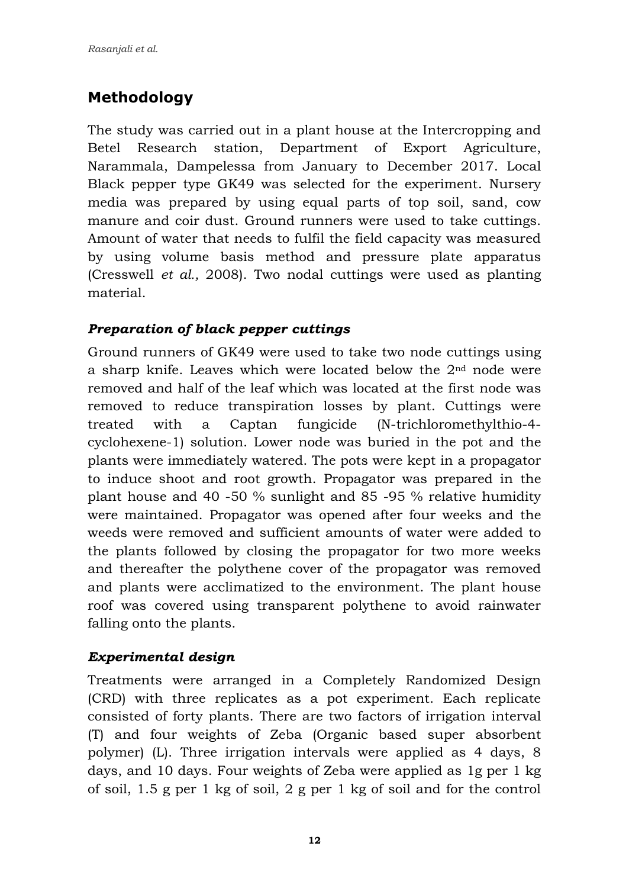# **Methodology**

The study was carried out in a plant house at the Intercropping and Betel Research station, Department of Export Agriculture, Narammala, Dampelessa from January to December 2017. Local Black pepper type GK49 was selected for the experiment. Nursery media was prepared by using equal parts of top soil, sand, cow manure and coir dust. Ground runners were used to take cuttings. Amount of water that needs to fulfil the field capacity was measured by using volume basis method and pressure plate apparatus (Cresswell *et al.,* 2008). Two nodal cuttings were used as planting material.

# *Preparation of black pepper cuttings*

Ground runners of GK49 were used to take two node cuttings using a sharp knife. Leaves which were located below the  $2<sup>nd</sup>$  node were removed and half of the leaf which was located at the first node was removed to reduce transpiration losses by plant. Cuttings were treated with a Captan fungicide (N-trichloromethylthio-4 cyclohexene-1) solution. Lower node was buried in the pot and the plants were immediately watered. The pots were kept in a propagator to induce shoot and root growth. Propagator was prepared in the plant house and 40 -50 % sunlight and 85 -95 % relative humidity were maintained. Propagator was opened after four weeks and the weeds were removed and sufficient amounts of water were added to the plants followed by closing the propagator for two more weeks and thereafter the polythene cover of the propagator was removed and plants were acclimatized to the environment. The plant house roof was covered using transparent polythene to avoid rainwater falling onto the plants.

# *Experimental design*

Treatments were arranged in a Completely Randomized Design (CRD) with three replicates as a pot experiment. Each replicate consisted of forty plants. There are two factors of irrigation interval (T) and four weights of Zeba (Organic based super absorbent polymer) (L). Three irrigation intervals were applied as 4 days, 8 days, and 10 days. Four weights of Zeba were applied as 1g per 1 kg of soil, 1.5 g per 1 kg of soil, 2 g per 1 kg of soil and for the control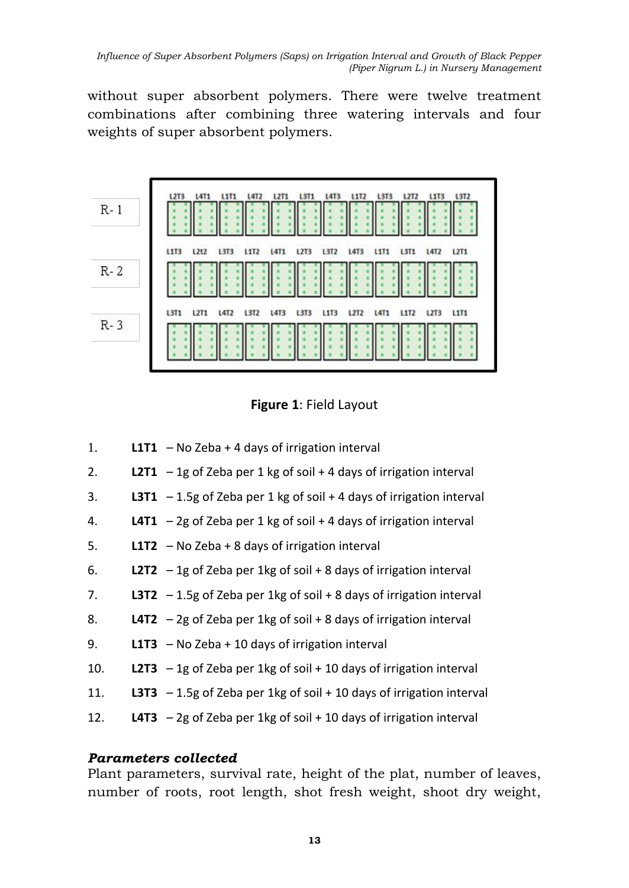without super absorbent polymers. There were twelve treatment combinations after combining three watering intervals and four weights of super absorbent polymers.





- 1. **L1T1**  No Zeba + 4 days of irrigation interval
- 2. **L2T1**  1g of Zeba per 1 kg of soil + 4 days of irrigation interval
- 3. **L3T1**  1.5g of Zeba per 1 kg of soil + 4 days of irrigation interval
- 4. **L4T1**  2g of Zeba per 1 kg of soil + 4 days of irrigation interval
- 5. **L1T2**  No Zeba + 8 days of irrigation interval
- 6. **L2T2** 1g of Zeba per 1kg of soil + 8 days of irrigation interval
- 7. **L3T2** 1.5g of Zeba per 1kg of soil + 8 days of irrigation interval
- 8. **L4T2**  2g of Zeba per 1kg of soil + 8 days of irrigation interval
- 9. **L1T3**  No Zeba + 10 days of irrigation interval
- 10. **L2T3** 1g of Zeba per 1kg of soil + 10 days of irrigation interval
- 11. **L3T3** 1.5g of Zeba per 1kg of soil + 10 days of irrigation interval
- 12. **L4T3**  2g of Zeba per 1kg of soil + 10 days of irrigation interval

### *Parameters collected*

Plant parameters, survival rate, height of the plat, number of leaves, number of roots, root length, shot fresh weight, shoot dry weight,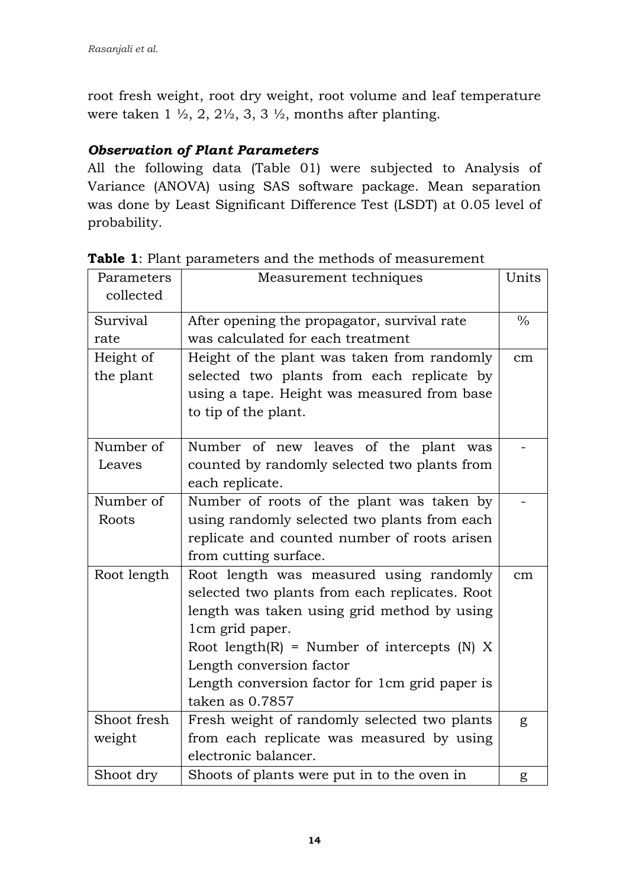root fresh weight, root dry weight, root volume and leaf temperature were taken  $1 \frac{1}{2}$ ,  $2, 2\frac{1}{2}$ ,  $3, 3\frac{1}{2}$ , months after planting.

### *Observation of Plant Parameters*

All the following data (Table 01) were subjected to Analysis of Variance (ANOVA) using SAS software package. Mean separation was done by Least Significant Difference Test (LSDT) at 0.05 level of probability.

| Parameters  | Measurement techniques                         | Units         |
|-------------|------------------------------------------------|---------------|
| collected   |                                                |               |
| Survival    | After opening the propagator, survival rate    | $\frac{0}{0}$ |
| rate        | was calculated for each treatment              |               |
| Height of   | Height of the plant was taken from randomly    | cm            |
| the plant   | selected two plants from each replicate by     |               |
|             | using a tape. Height was measured from base    |               |
|             | to tip of the plant.                           |               |
|             |                                                |               |
| Number of   | Number of new leaves of the plant was          |               |
| Leaves      | counted by randomly selected two plants from   |               |
|             | each replicate.                                |               |
| Number of   | Number of roots of the plant was taken by      |               |
| Roots       | using randomly selected two plants from each   |               |
|             | replicate and counted number of roots arisen   |               |
|             | from cutting surface.                          |               |
| Root length | Root length was measured using randomly        | $\rm cm$      |
|             | selected two plants from each replicates. Root |               |
|             | length was taken using grid method by using    |               |
|             | 1cm grid paper.                                |               |
|             | Root length(R) = Number of intercepts (N) $X$  |               |
|             | Length conversion factor                       |               |
|             | Length conversion factor for 1cm grid paper is |               |
|             | taken as 0.7857                                |               |
| Shoot fresh | Fresh weight of randomly selected two plants   | g             |
| weight      | from each replicate was measured by using      |               |
|             | electronic balancer.                           |               |
| Shoot dry   | Shoots of plants were put in to the oven in    | g             |

**Table 1**: Plant parameters and the methods of measurement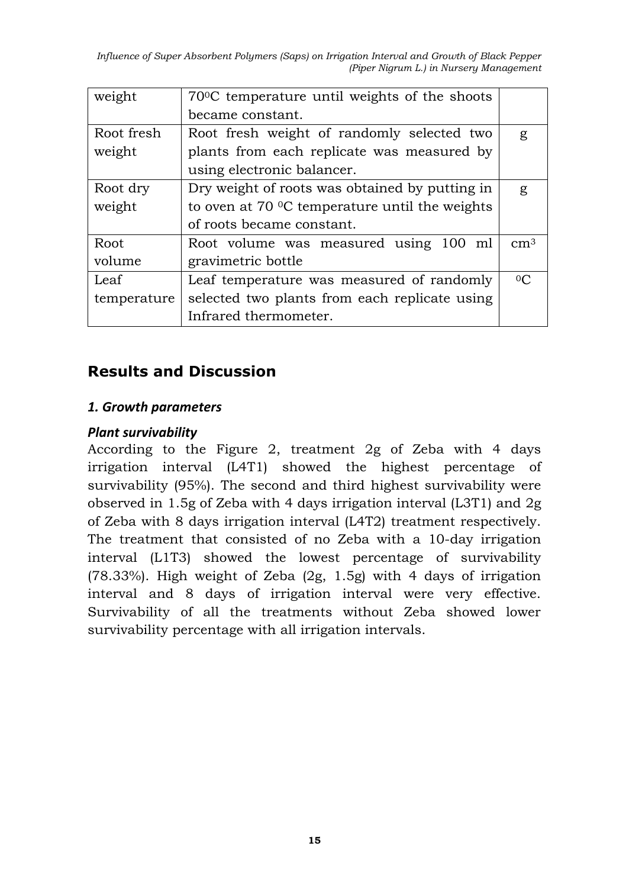*Influence of Super Absorbent Polymers (Saps) on Irrigation Interval and Growth of Black Pepper (Piper Nigrum L.) in Nursery Management*

| weight      | 70 °C temperature until weights of the shoots           |                 |
|-------------|---------------------------------------------------------|-----------------|
|             | became constant.                                        |                 |
| Root fresh  | Root fresh weight of randomly selected two              | g               |
| weight      | plants from each replicate was measured by              |                 |
|             | using electronic balancer.                              |                 |
| Root dry    | Dry weight of roots was obtained by putting in          | g               |
| weight      | to oven at $70 \degree$ C temperature until the weights |                 |
|             | of roots became constant.                               |                 |
| Root        | Root volume was measured using 100 ml                   | cm <sup>3</sup> |
| volume      | gravimetric bottle                                      |                 |
| Leaf        | Leaf temperature was measured of randomly               | 0 <sub>C</sub>  |
| temperature | selected two plants from each replicate using           |                 |
|             | Infrared thermometer.                                   |                 |

# **Results and Discussion**

#### *1. Growth parameters*

#### *Plant survivability*

According to the Figure 2, treatment 2g of Zeba with 4 days irrigation interval (L4T1) showed the highest percentage of survivability (95%). The second and third highest survivability were observed in 1.5g of Zeba with 4 days irrigation interval (L3T1) and 2g of Zeba with 8 days irrigation interval (L4T2) treatment respectively. The treatment that consisted of no Zeba with a 10-day irrigation interval (L1T3) showed the lowest percentage of survivability (78.33%). High weight of Zeba (2g, 1.5g) with 4 days of irrigation interval and 8 days of irrigation interval were very effective. Survivability of all the treatments without Zeba showed lower survivability percentage with all irrigation intervals.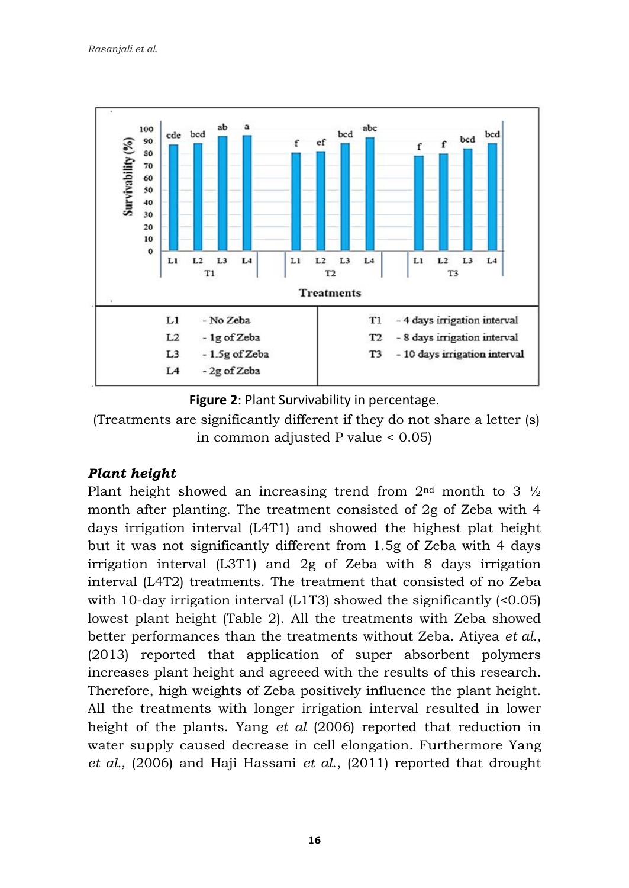



(Treatments are significantly different if they do not share a letter (s) in common adjusted P value < 0.05)

# *Plant height*

Plant height showed an increasing trend from  $2<sup>nd</sup>$  month to 3  $\frac{1}{2}$ month after planting. The treatment consisted of 2g of Zeba with 4 days irrigation interval (L4T1) and showed the highest plat height but it was not significantly different from 1.5g of Zeba with 4 days irrigation interval (L3T1) and 2g of Zeba with 8 days irrigation interval (L4T2) treatments. The treatment that consisted of no Zeba with 10-day irrigation interval  $(L1T3)$  showed the significantly  $(0.05)$ lowest plant height (Table 2). All the treatments with Zeba showed better performances than the treatments without Zeba. Atiyea *et al.,* (2013) reported that application of super absorbent polymers increases plant height and agreeed with the results of this research. Therefore, high weights of Zeba positively influence the plant height. All the treatments with longer irrigation interval resulted in lower height of the plants. Yang *et al* (2006) reported that reduction in water supply caused decrease in cell elongation. Furthermore Yang *et al.,* (2006) and Haji Hassani *et al*., (2011) reported that drought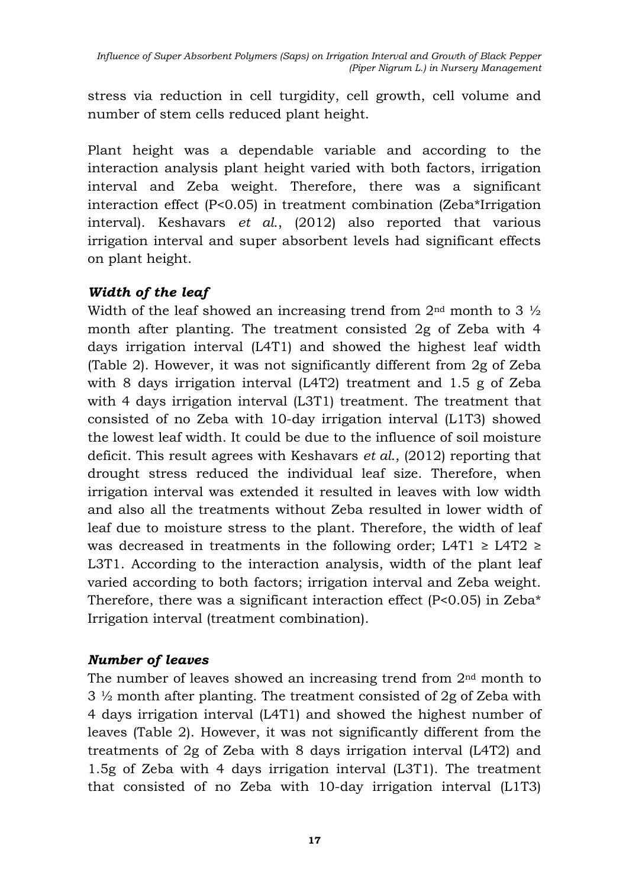stress via reduction in cell turgidity, cell growth, cell volume and number of stem cells reduced plant height.

Plant height was a dependable variable and according to the interaction analysis plant height varied with both factors, irrigation interval and Zeba weight. Therefore, there was a significant interaction effect (P<0.05) in treatment combination (Zeba\*Irrigation interval). Keshavars *et al*., (2012) also reported that various irrigation interval and super absorbent levels had significant effects on plant height.

# *Width of the leaf*

Width of the leaf showed an increasing trend from  $2<sup>nd</sup>$  month to 3  $\frac{1}{2}$ month after planting. The treatment consisted 2g of Zeba with 4 days irrigation interval (L4T1) and showed the highest leaf width (Table 2). However, it was not significantly different from 2g of Zeba with 8 days irrigation interval (L4T2) treatment and 1.5 g of Zeba with 4 days irrigation interval (L3T1) treatment. The treatment that consisted of no Zeba with 10-day irrigation interval (L1T3) showed the lowest leaf width. It could be due to the influence of soil moisture deficit. This result agrees with Keshavars *et al*., (2012) reporting that drought stress reduced the individual leaf size. Therefore, when irrigation interval was extended it resulted in leaves with low width and also all the treatments without Zeba resulted in lower width of leaf due to moisture stress to the plant. Therefore, the width of leaf was decreased in treatments in the following order; L4T1  $\geq$  L4T2  $\geq$ L3T1. According to the interaction analysis, width of the plant leaf varied according to both factors; irrigation interval and Zeba weight. Therefore, there was a significant interaction effect  $(P<0.05)$  in Zeba\* Irrigation interval (treatment combination).

# *Number of leaves*

The number of leaves showed an increasing trend from  $2<sup>nd</sup>$  month to 3 ½ month after planting. The treatment consisted of 2g of Zeba with 4 days irrigation interval (L4T1) and showed the highest number of leaves (Table 2). However, it was not significantly different from the treatments of 2g of Zeba with 8 days irrigation interval (L4T2) and 1.5g of Zeba with 4 days irrigation interval (L3T1). The treatment that consisted of no Zeba with 10-day irrigation interval (L1T3)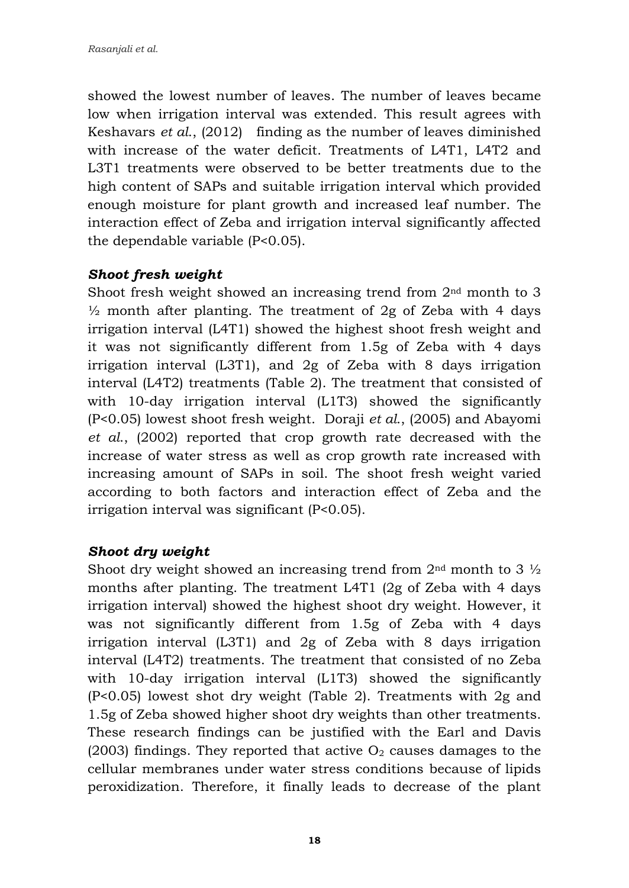showed the lowest number of leaves. The number of leaves became low when irrigation interval was extended. This result agrees with Keshavars *et al*., (2012) finding as the number of leaves diminished with increase of the water deficit. Treatments of L4T1, L4T2 and L3T1 treatments were observed to be better treatments due to the high content of SAPs and suitable irrigation interval which provided enough moisture for plant growth and increased leaf number. The interaction effect of Zeba and irrigation interval significantly affected the dependable variable (P<0.05).

### *Shoot fresh weight*

Shoot fresh weight showed an increasing trend from 2nd month to 3  $\frac{1}{2}$  month after planting. The treatment of 2g of Zeba with 4 days irrigation interval (L4T1) showed the highest shoot fresh weight and it was not significantly different from 1.5g of Zeba with 4 days irrigation interval (L3T1), and 2g of Zeba with 8 days irrigation interval (L4T2) treatments (Table 2). The treatment that consisted of with 10-day irrigation interval (L1T3) showed the significantly (P<0.05) lowest shoot fresh weight. Doraji *et al*., (2005) and Abayomi *et al*., (2002) reported that crop growth rate decreased with the increase of water stress as well as crop growth rate increased with increasing amount of SAPs in soil. The shoot fresh weight varied according to both factors and interaction effect of Zeba and the irrigation interval was significant (P<0.05).

### *Shoot dry weight*

Shoot dry weight showed an increasing trend from  $2<sup>nd</sup>$  month to 3  $\frac{1}{2}$ months after planting. The treatment L4T1 (2g of Zeba with 4 days irrigation interval) showed the highest shoot dry weight. However, it was not significantly different from 1.5g of Zeba with 4 days irrigation interval (L3T1) and 2g of Zeba with 8 days irrigation interval (L4T2) treatments. The treatment that consisted of no Zeba with 10-day irrigation interval (L1T3) showed the significantly (P<0.05) lowest shot dry weight (Table 2). Treatments with 2g and 1.5g of Zeba showed higher shoot dry weights than other treatments. These research findings can be justified with the Earl and Davis (2003) findings. They reported that active  $O_2$  causes damages to the cellular membranes under water stress conditions because of lipids peroxidization. Therefore, it finally leads to decrease of the plant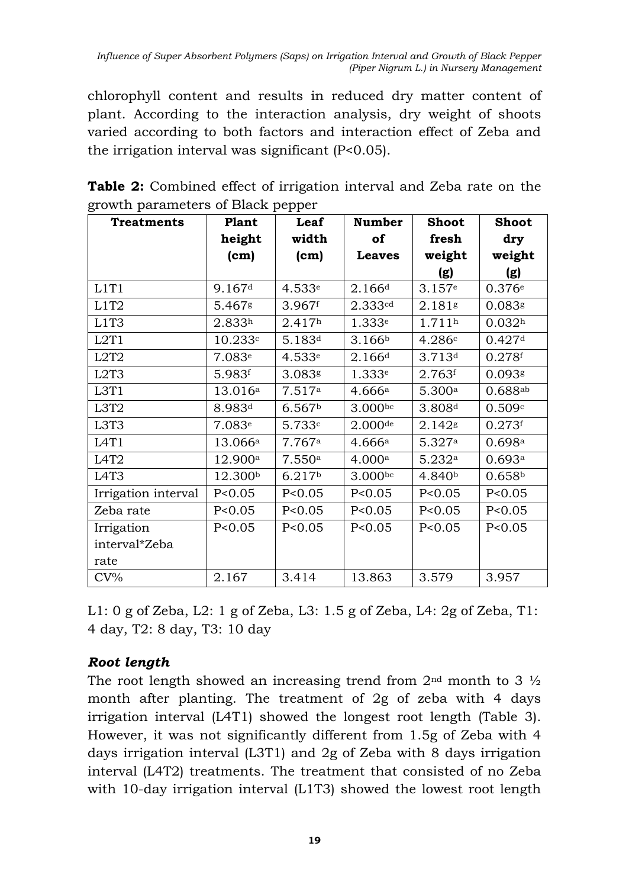chlorophyll content and results in reduced dry matter content of plant. According to the interaction analysis, dry weight of shoots varied according to both factors and interaction effect of Zeba and the irrigation interval was significant (P<0.05).

| ີ<br><b>Treatments</b>        | Plant              | ⊥ ⊥<br>Leaf        | <b>Number</b>       | <b>Shoot</b>       | <b>Shoot</b>       |
|-------------------------------|--------------------|--------------------|---------------------|--------------------|--------------------|
|                               | height             | width              | of                  | fresh              | dry                |
|                               | (cm)               | (cm)               | <b>Leaves</b>       | weight             | weight             |
|                               |                    |                    |                     | (g)                | (g)                |
| L1T1                          | 9.167 <sup>d</sup> | 4.533e             | 2.166 <sup>d</sup>  | 3.157e             | 0.376e             |
| L1T2                          | 5.467g             | 3.967f             | 2.333 <sup>cd</sup> | 2.181g             | $0.083$ g          |
| L1T3                          | 2.833h             | 2.417 <sup>h</sup> | 1.333e              | 1.711h             | 0.032 <sup>h</sup> |
| L2T1                          | 10.233c            | 5.183 <sup>d</sup> | 3.166 <sup>b</sup>  | 4.286c             | 0.427 <sup>d</sup> |
| L <sub>2</sub> T <sub>2</sub> | 7.083 <sup>e</sup> | 4.533e             | 2.166d              | 3.713 <sup>d</sup> | 0.278f             |
| L <sub>2</sub> T <sub>3</sub> | 5.983f             | 3.083g             | 1.333 <sup>e</sup>  | 2.763f             | 0.0938             |
| L3T1                          | 13.016a            | 7.517a             | 4.666a              | 5.300a             | $0.688a^{b}$       |
| L3T <sub>2</sub>              | 8.983 <sup>d</sup> | 6.567 <sup>b</sup> | 3.000 <sub>bc</sub> | 3.808 <sup>d</sup> | 0.509c             |
| L3T3                          | 7.083e             | 5.733c             | $2.000$ de          | 2.142s             | 0.273f             |
| L <sub>4</sub> T <sub>1</sub> | 13.066a            | 7.767a             | 4.666a              | 5.327a             | 0.698a             |
| L <sub>4</sub> T <sub>2</sub> | 12.900a            | 7.550a             | 4.000a              | 5.232a             | 0.693a             |
| L <sub>4</sub> T <sub>3</sub> | 12.300b            | 6.217 <sup>b</sup> | 3.000 <sub>bc</sub> | 4.840b             | 0.658 <sup>b</sup> |
| Irrigation interval           | P < 0.05           | P < 0.05           | P < 0.05            | P < 0.05           | P < 0.05           |
| Zeba rate                     | P < 0.05           | P < 0.05           | P < 0.05            | P < 0.05           | P < 0.05           |
| Irrigation                    | P < 0.05           | P < 0.05           | P < 0.05            | P < 0.05           | P < 0.05           |
| interval*Zeba                 |                    |                    |                     |                    |                    |
| rate                          |                    |                    |                     |                    |                    |
| $CV\%$                        | 2.167              | 3.414              | 13.863              | 3.579              | 3.957              |

**Table 2:** Combined effect of irrigation interval and Zeba rate on the growth parameters of Black pepper

L1: 0 g of Zeba, L2: 1 g of Zeba, L3: 1.5 g of Zeba, L4: 2g of Zeba, T1: 4 day, T2: 8 day, T3: 10 day

# *Root length*

The root length showed an increasing trend from  $2<sup>nd</sup>$  month to 3  $\frac{1}{2}$ month after planting. The treatment of 2g of zeba with 4 days irrigation interval (L4T1) showed the longest root length (Table 3). However, it was not significantly different from 1.5g of Zeba with 4 days irrigation interval (L3T1) and 2g of Zeba with 8 days irrigation interval (L4T2) treatments. The treatment that consisted of no Zeba with 10-day irrigation interval (L1T3) showed the lowest root length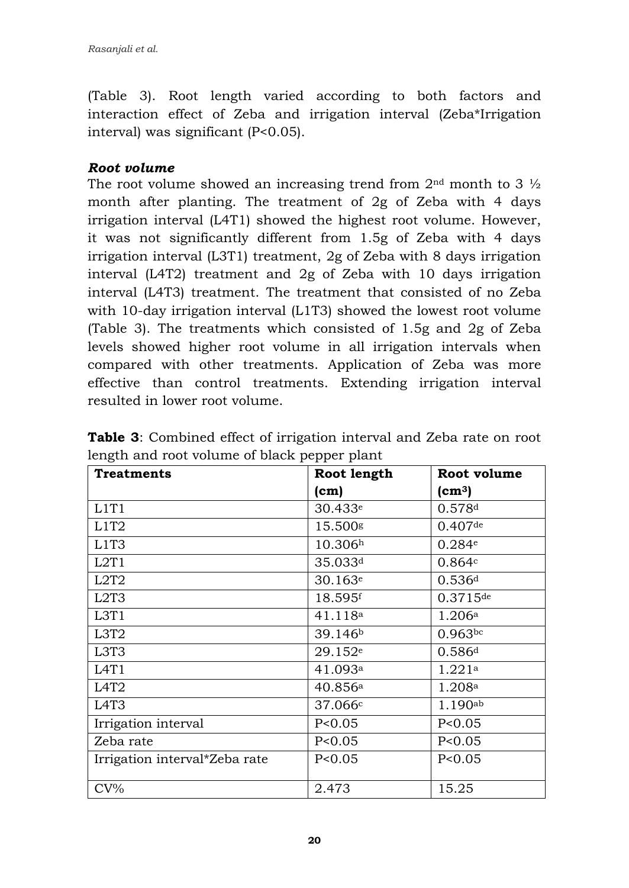(Table 3). Root length varied according to both factors and interaction effect of Zeba and irrigation interval (Zeba\*Irrigation interval) was significant (P<0.05).

#### *Root volume*

The root volume showed an increasing trend from  $2<sup>nd</sup>$  month to 3  $\frac{1}{2}$ month after planting. The treatment of 2g of Zeba with 4 days irrigation interval (L4T1) showed the highest root volume. However, it was not significantly different from 1.5g of Zeba with 4 days irrigation interval (L3T1) treatment, 2g of Zeba with 8 days irrigation interval (L4T2) treatment and 2g of Zeba with 10 days irrigation interval (L4T3) treatment. The treatment that consisted of no Zeba with 10-day irrigation interval (L1T3) showed the lowest root volume (Table 3). The treatments which consisted of 1.5g and 2g of Zeba levels showed higher root volume in all irrigation intervals when compared with other treatments. Application of Zeba was more effective than control treatments. Extending irrigation interval resulted in lower root volume.

| <b>Treatments</b>             | Root length         | Root volume            |
|-------------------------------|---------------------|------------------------|
|                               | (cm)                | $\text{(cm}^3\text{)}$ |
| L1T1                          | 30.433e             | 0.578d                 |
| L <sub>1</sub> T <sub>2</sub> | 15.500s             | $0.407$ de             |
| L1T3                          | 10.306 <sup>h</sup> | 0.284e                 |
| L2T1                          | 35.033 <sup>d</sup> | 0.864c                 |
| L <sub>2</sub> T <sub>2</sub> | 30.163e             | 0.536 <sup>d</sup>     |
| L <sub>2</sub> T <sub>3</sub> | 18.595f             | $0.3715$ de            |
| L3T1                          | 41.118 <sup>a</sup> | 1.206a                 |
| L3T <sub>2</sub>              | 39.146 <sup>b</sup> | $0.963$ bc             |
| L3T3                          | 29.152e             | 0.586 <sup>d</sup>     |
| L <sub>4</sub> T <sub>1</sub> | 41.093a             | 1.221a                 |
| L <sub>4</sub> T <sub>2</sub> | 40.856a             | 1.208 <sup>a</sup>     |
| L <sub>4</sub> T <sub>3</sub> | 37.066c             | $1.190$ ab             |
| Irrigation interval           | P < 0.05            | P < 0.05               |
| Zeba rate                     | P < 0.05            | P < 0.05               |
| Irrigation interval*Zeba rate | P < 0.05            | P < 0.05               |
| $CV\%$                        | 2.473               | 15.25                  |

**Table 3**: Combined effect of irrigation interval and Zeba rate on root length and root volume of black pepper plant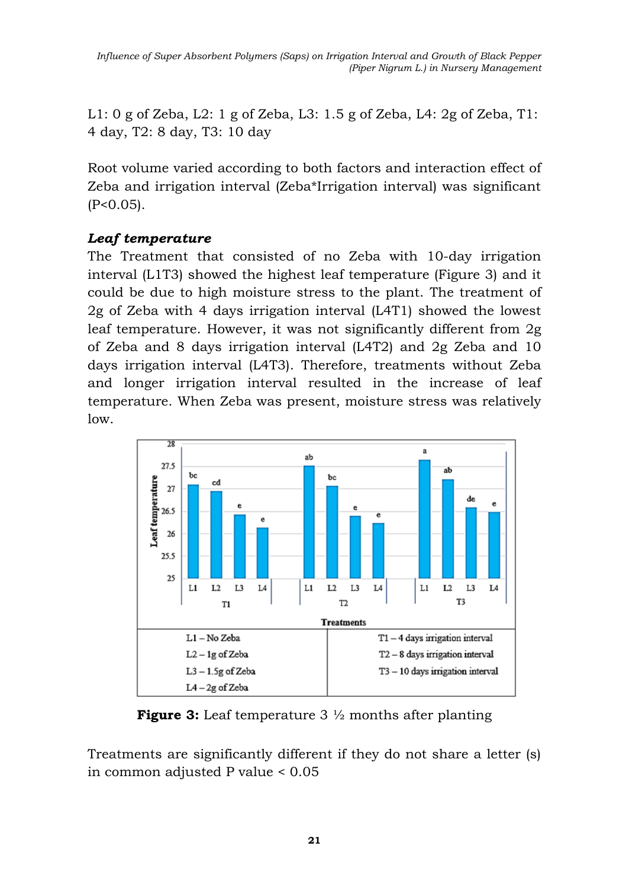*Influence of Super Absorbent Polymers (Saps) on Irrigation Interval and Growth of Black Pepper (Piper Nigrum L.) in Nursery Management*

L1: 0 g of Zeba, L2: 1 g of Zeba, L3: 1.5 g of Zeba, L4: 2g of Zeba, T1: 4 day, T2: 8 day, T3: 10 day

Root volume varied according to both factors and interaction effect of Zeba and irrigation interval (Zeba\*Irrigation interval) was significant  $(P<0.05)$ .

### *Leaf temperature*

The Treatment that consisted of no Zeba with 10-day irrigation interval (L1T3) showed the highest leaf temperature (Figure 3) and it could be due to high moisture stress to the plant. The treatment of 2g of Zeba with 4 days irrigation interval (L4T1) showed the lowest leaf temperature. However, it was not significantly different from 2g of Zeba and 8 days irrigation interval (L4T2) and 2g Zeba and 10 days irrigation interval (L4T3). Therefore, treatments without Zeba and longer irrigation interval resulted in the increase of leaf temperature. When Zeba was present, moisture stress was relatively low.



**Figure 3:** Leaf temperature 3  $\frac{1}{2}$  months after planting

Treatments are significantly different if they do not share a letter (s) in common adjusted P value < 0.05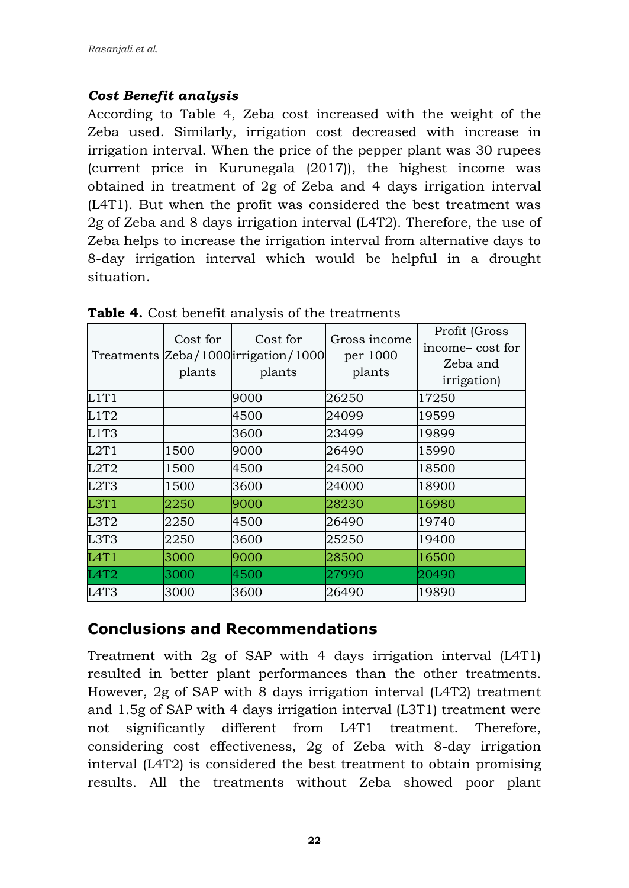### *Cost Benefit analysis*

According to Table 4, Zeba cost increased with the weight of the Zeba used. Similarly, irrigation cost decreased with increase in irrigation interval. When the price of the pepper plant was 30 rupees (current price in Kurunegala (2017)), the highest income was obtained in treatment of 2g of Zeba and 4 days irrigation interval (L4T1). But when the profit was considered the best treatment was 2g of Zeba and 8 days irrigation interval (L4T2). Therefore, the use of Zeba helps to increase the irrigation interval from alternative days to 8-day irrigation interval which would be helpful in a drought situation.

|                               | Cost for<br>plants | Cost for<br>Treatments Zeba/1000irrigation/1000<br>plants | Gross income<br>per 1000<br>plants | Profit (Gross<br>income-cost for<br>Zeba and<br><i>irrigation</i> ) |
|-------------------------------|--------------------|-----------------------------------------------------------|------------------------------------|---------------------------------------------------------------------|
| L1T1                          |                    | 9000                                                      | 26250                              | 17250                                                               |
| L1T2                          |                    | 4500                                                      | 24099                              | 19599                                                               |
| L1T3                          |                    | 3600                                                      | 23499                              | 19899                                                               |
| L2T1                          | 1500               | 9000                                                      | 26490                              | 15990                                                               |
| L2T2                          | 1500               | 4500                                                      | 24500                              | 18500                                                               |
| L <sub>2</sub> T <sub>3</sub> | 1500               | 3600                                                      | 24000                              | 18900                                                               |
| L3T1                          | 2250               | 9000                                                      | 28230                              | 16980                                                               |
| L3T2                          | 2250               | 4500                                                      | 26490                              | 19740                                                               |
| L3T3                          | 2250               | 3600                                                      | 25250                              | 19400                                                               |
| L4T1                          | 3000               | 9000                                                      | 28500                              | 16500                                                               |
| L <sub>4</sub> T <sub>2</sub> | 3000               | 4500                                                      | 27990                              | 20490                                                               |
| L <sub>4</sub> T <sub>3</sub> | 3000               | 3600                                                      | 26490                              | 19890                                                               |

**Table 4.** Cost benefit analysis of the treatments

# **Conclusions and Recommendations**

Treatment with 2g of SAP with 4 days irrigation interval (L4T1) resulted in better plant performances than the other treatments. However, 2g of SAP with 8 days irrigation interval (L4T2) treatment and 1.5g of SAP with 4 days irrigation interval (L3T1) treatment were not significantly different from L4T1 treatment. Therefore, considering cost effectiveness, 2g of Zeba with 8-day irrigation interval (L4T2) is considered the best treatment to obtain promising results. All the treatments without Zeba showed poor plant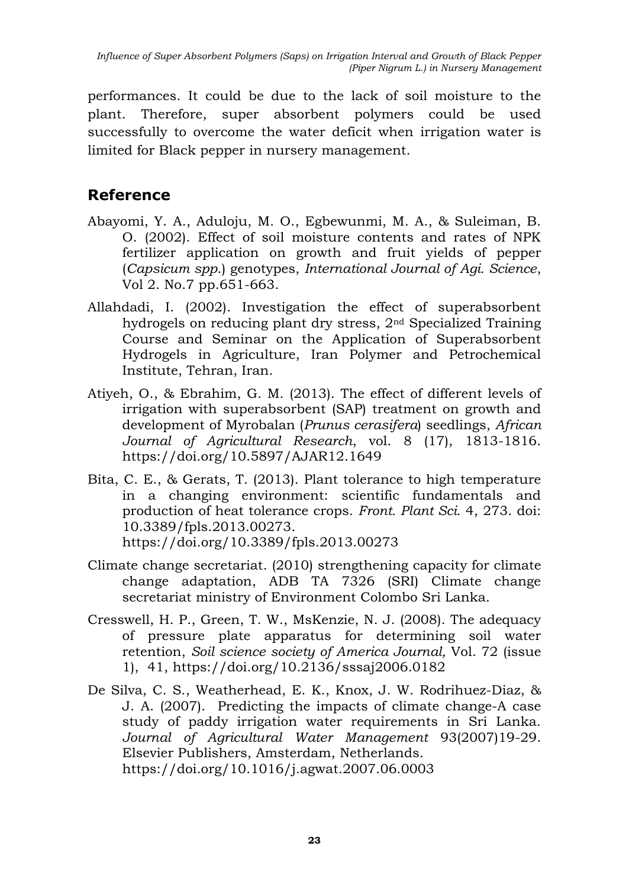performances. It could be due to the lack of soil moisture to the plant. Therefore, super absorbent polymers could be used successfully to overcome the water deficit when irrigation water is limited for Black pepper in nursery management.

# **Reference**

- Abayomi, Y. A., Aduloju, M. O., Egbewunmi, M. A., & Suleiman, B. O. (2002). Effect of soil moisture contents and rates of NPK fertilizer application on growth and fruit yields of pepper (*Capsicum spp*.) genotypes, *International Journal of Agi. Science*, Vol 2. No.7 pp.651-663.
- Allahdadi, I. (2002). Investigation the effect of superabsorbent hydrogels on reducing plant dry stress, 2nd Specialized Training Course and Seminar on the Application of Superabsorbent Hydrogels in Agriculture, Iran Polymer and Petrochemical Institute, Tehran, Iran.
- Atiyeh, O., & Ebrahim, G. M. (2013). The effect of different levels of irrigation with superabsorbent (SAP) treatment on growth and development of Myrobalan (*Prunus cerasifera*) seedlings, *African Journal of Agricultural Research*, vol. 8 (17), 1813-1816. <https://doi.org/10.5897/AJAR12.1649>
- Bita, C. E., & Gerats, T. (2013). Plant tolerance to high temperature in a changing environment: scientific fundamentals and production of heat tolerance crops. *Front. Plant Sci.* 4, 273. doi: 10.3389/fpls.2013.00273. https://doi.org/10.3389/fpls.2013.00273
- Climate change secretariat. (2010) strengthening capacity for climate change adaptation, ADB TA 7326 (SRI) Climate change secretariat ministry of Environment Colombo Sri Lanka.
- Cresswell, H. P., Green, T. W., MsKenzie, N. J. (2008). The adequacy of pressure plate apparatus for determining soil water retention, *Soil science society of America Journal,* Vol. 72 (issue 1), 41,<https://doi.org/10.2136/sssaj2006.0182>
- De Silva, C. S., Weatherhead, E. K., Knox, J. W. Rodrihuez-Diaz, & J. A. (2007). Predicting the impacts of climate change-A case study of paddy irrigation water requirements in Sri Lanka. *Journal of Agricultural Water Management* 93(2007)19-29. Elsevier Publishers, Amsterdam, Netherlands. <https://doi.org/10.1016/j.agwat.2007.06.0003>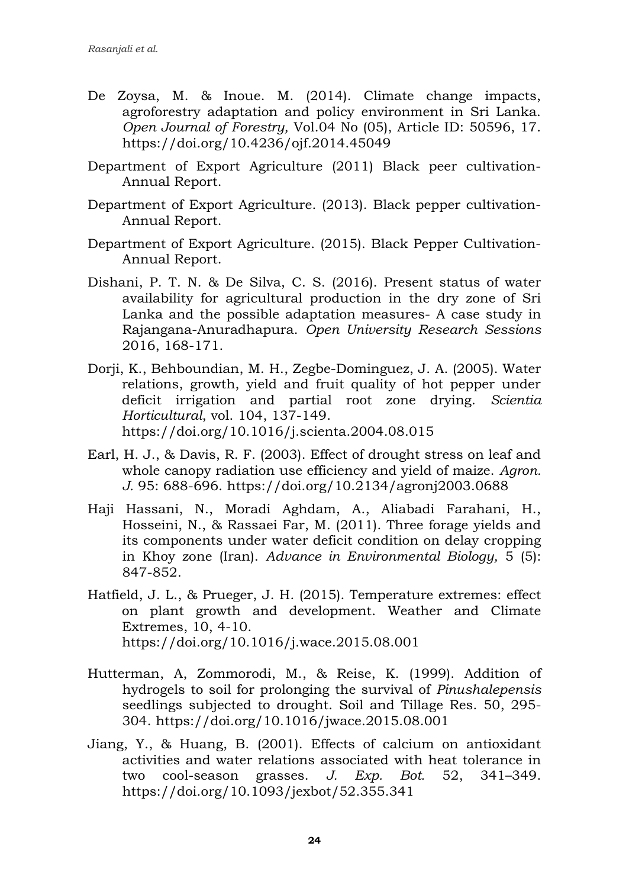- De Zoysa, M. & Inoue. M. (2014). Climate change impacts, agroforestry adaptation and policy environment in Sri Lanka. *Open Journal of Forestry,* Vol.04 No (05), Article ID: 50596, 17. https://doi.org/10.4236/ojf.2014.45049
- Department of Export Agriculture (2011) Black peer cultivation-Annual Report.
- Department of Export Agriculture. (2013). Black pepper cultivation-Annual Report.
- Department of Export Agriculture. (2015). Black Pepper Cultivation-Annual Report.
- Dishani, P. T. N. & De Silva, C. S. (2016). Present status of water availability for agricultural production in the dry zone of Sri Lanka and the possible adaptation measures- A case study in Rajangana-Anuradhapura. *Open University Research Sessions*  2016, 168-171.
- Dorji, K., Behboundian, M. H., Zegbe-Dominguez, J. A. (2005). Water relations, growth, yield and fruit quality of hot pepper under deficit irrigation and partial root zone drying. *Scientia Horticultural*, vol. 104, 137-149. <https://doi.org/10.1016/j.scienta.2004.08.015>
- Earl, H. J., & Davis, R. F. (2003). Effect of drought stress on leaf and whole canopy radiation use efficiency and yield of maize. *Agron. J.* 95: 688-696.<https://doi.org/10.2134/agronj2003.0688>
- Haji Hassani, N., Moradi Aghdam, A., Aliabadi Farahani, H., Hosseini, N., & Rassaei Far, M. (2011). Three forage yields and its components under water deficit condition on delay cropping in Khoy zone (Iran). *Advance in Environmental Biology,* 5 (5): 847-852.
- Hatfield, J. L., & Prueger, J. H. (2015). Temperature extremes: effect on plant growth and development. Weather and Climate Extremes, 10, 4-10. <https://doi.org/10.1016/j.wace.2015.08.001>
- Hutterman, A, Zommorodi, M., & Reise, K. (1999). Addition of hydrogels to soil for prolonging the survival of *Pinushalepensis* seedlings subjected to drought. Soil and Tillage Res. 50, 295- 304. https://doi.org/10.1016/jwace.2015.08.001
- Jiang, Y., & Huang, B. (2001). Effects of calcium on antioxidant activities and water relations associated with heat tolerance in two cool-season grasses. *J. Exp. Bot.* 52, 341–349. https://doi.org/10.1093/jexbot/52.355.341